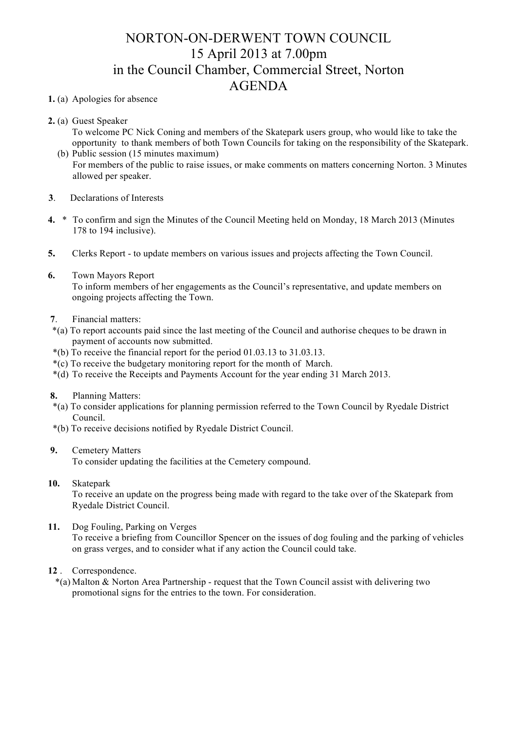# NORTON-ON-DERWENT TOWN COUNCIL 15 April 2013 at 7.00pm in the Council Chamber, Commercial Street, Norton AGENDA

### **1.** (a) Apologies for absence

- **2.** (a) Guest Speaker
	- To welcome PC Nick Coning and members of the Skatepark users group, who would like to take the opportunity to thank members of both Town Councils for taking on the responsibility of the Skatepark.
	- (b) Public session (15 minutes maximum) For members of the public to raise issues, or make comments on matters concerning Norton. 3 Minutes allowed per speaker.
- **3**. Declarations of Interests
- **4.** \* To confirm and sign the Minutes of the Council Meeting held on Monday, 18 March 2013 (Minutes 178 to 194 inclusive).
- **5.** Clerks Report to update members on various issues and projects affecting the Town Council.
- **6.** Town Mayors Report

 To inform members of her engagements as the Council's representative, and update members on ongoing projects affecting the Town.

- **7**. Financial matters:
- \*(a) To report accounts paid since the last meeting of the Council and authorise cheques to be drawn in payment of accounts now submitted.
- \*(b) To receive the financial report for the period 01.03.13 to 31.03.13.
- \*(c) To receive the budgetary monitoring report for the month of March.
- \*(d) To receive the Receipts and Payments Account for the year ending 31 March 2013.
- **8.** Planning Matters:
- \*(a) To consider applications for planning permission referred to the Town Council by Ryedale District Council.
- \*(b) To receive decisions notified by Ryedale District Council.

## **9.** Cemetery Matters

To consider updating the facilities at the Cemetery compound.

**10.** Skatepark

To receive an update on the progress being made with regard to the take over of the Skatepark from Ryedale District Council.

## **11.** Dog Fouling, Parking on Verges

To receive a briefing from Councillor Spencer on the issues of dog fouling and the parking of vehicles on grass verges, and to consider what if any action the Council could take.

## **12** . Correspondence.

 \*(a) Malton & Norton Area Partnership - request that the Town Council assist with delivering two promotional signs for the entries to the town. For consideration.